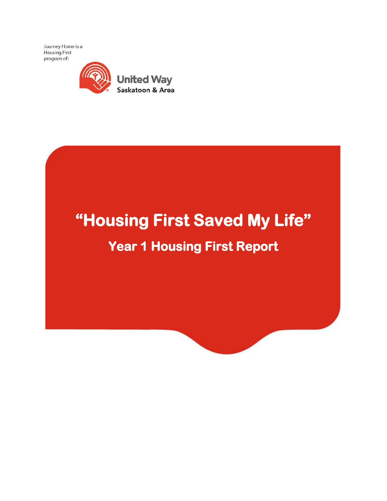Journey Home is a Housing First program of:



# **"Housing First Saved My Life" Year 1 Housing First Report**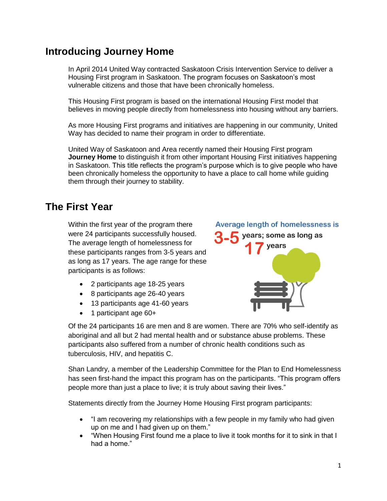### **Introducing Journey Home**

In April 2014 United Way contracted Saskatoon Crisis Intervention Service to deliver a Housing First program in Saskatoon. The program focuses on Saskatoon's most vulnerable citizens and those that have been chronically homeless.

This Housing First program is based on the international Housing First model that believes in moving people directly from homelessness into housing without any barriers.

As more Housing First programs and initiatives are happening in our community, United Way has decided to name their program in order to differentiate.

United Way of Saskatoon and Area recently named their Housing First program **Journey Home** to distinguish it from other important Housing First initiatives happening in Saskatoon. This title reflects the program's purpose which is to give people who have been chronically homeless the opportunity to have a place to call home while guiding them through their journey to stability.

### **The First Year**

Within the first year of the program there were 24 participants successfully housed. The average length of homelessness for these participants ranges from 3-5 years and as long as 17 years. The age range for these participants is as follows:

- 2 participants age 18-25 years
- 8 participants age 26-40 years
- 13 participants age 41-60 years
- 1 participant age 60+



Of the 24 participants 16 are men and 8 are women. There are 70% who self-identify as aboriginal and all but 2 had mental health and or substance abuse problems. These participants also suffered from a number of chronic health conditions such as tuberculosis, HIV, and hepatitis C.

Shan Landry, a member of the Leadership Committee for the Plan to End Homelessness has seen first-hand the impact this program has on the participants. "This program offers people more than just a place to live; it is truly about saving their lives."

Statements directly from the Journey Home Housing First program participants:

- "I am recovering my relationships with a few people in my family who had given up on me and I had given up on them."
- "When Housing First found me a place to live it took months for it to sink in that I had a home."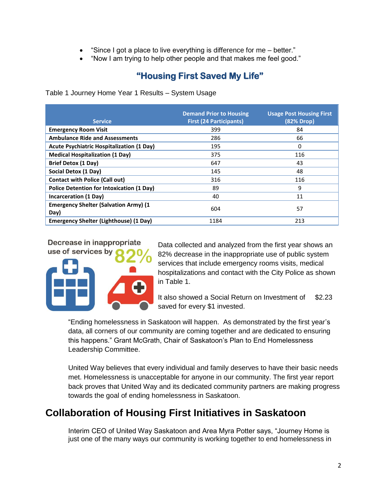- "Since I got a place to live everything is difference for me better."
- "Now I am trying to help other people and that makes me feel good."

#### **"Housing First Saved My Life"**

Table 1 Journey Home Year 1 Results – System Usage

| <b>Service</b>                                       | <b>Demand Prior to Housing</b><br><b>First (24 Participants)</b> | <b>Usage Post Housing First</b><br>(82% Drop) |
|------------------------------------------------------|------------------------------------------------------------------|-----------------------------------------------|
| <b>Emergency Room Visit</b>                          | 399                                                              | 84                                            |
| <b>Ambulance Ride and Assessments</b>                | 286                                                              | 66                                            |
| Acute Psychiatric Hospitalization (1 Day)            | 195                                                              | 0                                             |
| <b>Medical Hospitalization (1 Day)</b>               | 375                                                              | 116                                           |
| <b>Brief Detox (1 Day)</b>                           | 647                                                              | 43                                            |
| Social Detox (1 Day)                                 | 145                                                              | 48                                            |
| <b>Contact with Police (Call out)</b>                | 316                                                              | 116                                           |
| <b>Police Detention for Intoxication (1 Day)</b>     | 89                                                               | 9                                             |
| Incarceration (1 Day)                                | 40                                                               | 11                                            |
| <b>Emergency Shelter (Salvation Army) (1</b><br>Day) | 604                                                              | 57                                            |
| <b>Emergency Shelter (Lighthouse) (1 Day)</b>        | 1184                                                             | 213                                           |

Decrease in inappropriate use of services by



Data collected and analyzed from the first year shows an 82% decrease in the inappropriate use of public system services that include emergency rooms visits, medical hospitalizations and contact with the City Police as shown in Table 1.

It also showed a Social Return on Investment of \$2.23 saved for every \$1 invested.

"Ending homelessness in Saskatoon will happen. As demonstrated by the first year's data, all corners of our community are coming together and are dedicated to ensuring this happens." Grant McGrath, Chair of Saskatoon's Plan to End Homelessness Leadership Committee.

United Way believes that every individual and family deserves to have their basic needs met. Homelessness is unacceptable for anyone in our community. The first year report back proves that United Way and its dedicated community partners are making progress towards the goal of ending homelessness in Saskatoon.

## **Collaboration of Housing First Initiatives in Saskatoon**

Interim CEO of United Way Saskatoon and Area Myra Potter says, "Journey Home is just one of the many ways our community is working together to end homelessness in